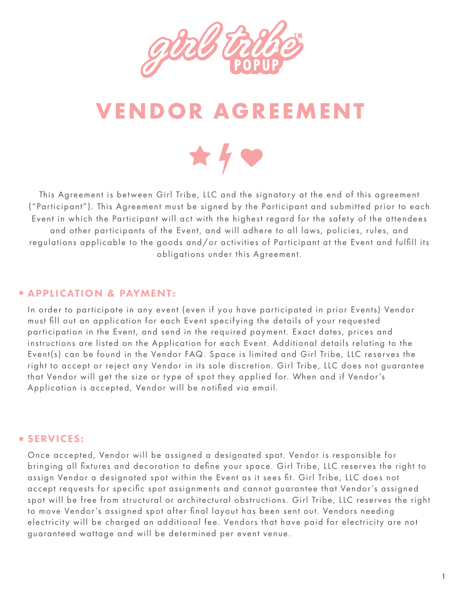

# **VENDOR AGREEMENT**



This Agreement is between Girl Tribe, LLC and the signatory at the end of this agreement ("Participant"). This Agreement must be signed by the Participant and submitted prior to each Event in which the Participant will act with the highest regard for the safety of the attendees and other participants of the Event, and will adhere to all laws, policies, rules, and regulations applicable to the goods and/or activities of Participant at the Event and fulfill its obligations under this Agreement.

#### APPLICATION & PAYMENT:

In order to participate in any event (even if you have participated in prior Events) Vendor must fill out an application for each Event specifying the details of your requested participation in the Event, and send in the required payment. Exact dates, prices and instructions are listed on the Application for each Event. Additional details relating to the Event(s) can be found in the Vendor FAQ. Space is limited and Girl Tribe, LLC reserves the right to accept or reject any Vendor in its sole discretion. Girl Tribe, LLC does not guarantee that Vendor will get the size or type of spot they applied for. When and if Vendor's Application is accepted, Vendor will be notified via email.

# SERVICES:

Once accepted, Vendor will be assigned a designated spot. Vendor is responsible for bringing all fixtures and decoration to define your space. Girl Tribe, LLC reserves the right to assign Vendor a designated spot within the Event as it sees fit. Girl Tribe, LLC does not accept requests for specific spot assignments and cannot guarantee that Vendor's assigned spot will be free from structural or architectural obstructions. Girl Tribe, LLC reserves the right to move Vendor's assigned spot after final layout has been sent out. Vendors needing electricity will be charged an additional fee. Vendors that have paid for electricity are not guaranteed wattage and will be determined per event venue.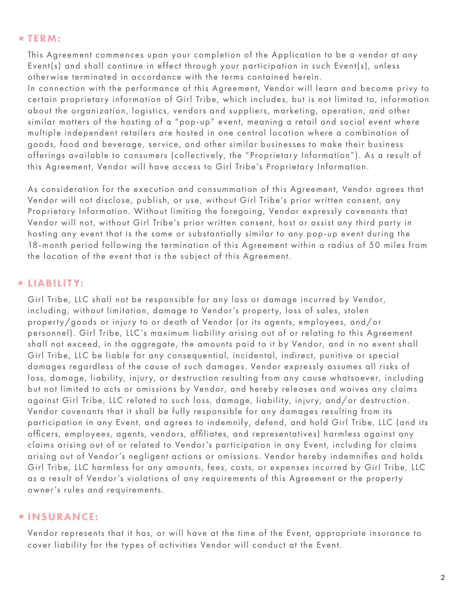#### $\star$  TERM:

This Agreement commences upon your completion of the Application to be a vendor at any Event(s) and shall continue in effect through your participation in such Event(s), unless otherwise terminated in accordance with the terms contained herein.

In connection with the performance of this Agreement, Vendor will learn and become privy to certain proprietary information of Girl Tribe, which includes, but is not limited to, information about the organization, logistics, vendors and suppliers, marketing, operation, and other similar matters of the hosting of a "pop-up" event, meaning a retail and social event where multiple independent retailers are hosted in one central location where a combination of goods, food and beverage, service, and other similar businesses to make their business offerings available to consumers (collectively, the "Proprietary Information"). As a result of this Agreement, Vendor will have access to Girl Tribe's Proprietary Information.

As consideration for the execution and consummation of this Agreement, Vendor agrees that Vendor will not disclose, publish, or use, without Girl Tribe's prior written consent, any Proprietary Information. Without limiting the foregoing, Vendor expressly covenants that Vendor will not, without Girl Tribe's prior written consent, host or assist any third party in hosting any event that is the same or substantially similar to any pop-up event during the 18-month period following the termination of this Agreement within a radius of 50 miles from the location of the event that is the subject of this Agreement.

#### LIABILITY:

Girl Tribe, LLC shall not be responsible for any loss or damage incurred by Vendor, including, without limitation, damage to Vendor's property, loss of sales, stolen property/goods or injury to or death of Vendor (or its agents, employees, and/or personnel). Girl Tribe, LLC's maximum liability arising out of or relating to this Agreement shall not exceed, in the aggregate, the amounts paid to it by Vendor, and in no event shall Girl Tribe, LLC be liable for any consequential, incidental, indirect, punitive or special damages regardless of the cause of such damages. Vendor expressly assumes all risks of loss, damage, liability, injury, or destruction resulting from any cause whatsoever, including but not limited to acts or omissions by Vendor, and hereby releases and waives any claims against Girl Tribe, LLC related to such loss, damage, liability, injury, and/or destruction. Vendor covenants that it shall be fully responsible for any damages resulting from its participation in any Event, and agrees to indemnify, defend, and hold Girl Tribe, LLC (and its officers, employees, agents, vendors, affiliates, and representatives) harmless against any claims arising out of or related to Vendor's participation in any Event, including for claims arising out of Vendor's negligent actions or omissions. Vendor hereby indemnifies and holds Girl Tribe, LLC harmless for any amounts, fees, costs, or expenses incurred by Girl Tribe, LLC as a result of Vendor's violations of any requirements of this Agreement or the property owner's rules and requirements.

#### INSURANCE:

Vendor represents that it has, or will have at the time of the Event, appropriate insurance to cover liability for the types of activities Vendor will conduct at the Event.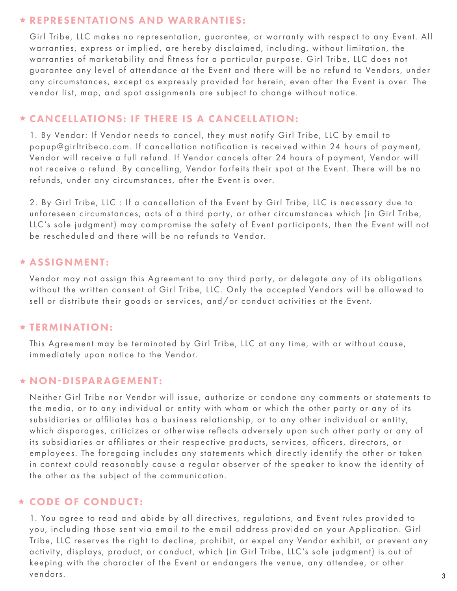#### REPRESENTATIONS AND WARRANTIES:

Girl Tribe, LLC makes no representation, guarantee, or warranty with respect to any Event. All warranties, express or implied, are hereby disclaimed, including, without limitation, the warranties of marketability and fitness for a particular purpose. Girl Tribe, LLC does not guarantee any level of attendance at the Event and there will be no refund to Vendors, under any circumstances, except as expressly provided for herein, even after the Event is over. The vendor list, map, and spot assignments are subject to change without notice.

# CANCELLATIONS: IF THERE IS A CANCELLATION:

1. By Vendor: If Vendor needs to cancel, they must notify Girl Tribe, LLC by email to popup@girltribeco.com. If cancellation notification is received within 24 hours of payment, Vendor will receive a full refund. If Vendor cancels after 24 hours of payment, Vendor will not receive a refund. By cancelling, Vendor forfeits their spot at the Event. There will be no refunds, under any circumstances, after the Event is over.

2. By Girl Tribe, LLC : If a cancellation of the Event by Girl Tribe, LLC is necessary due to unforeseen circumstances, acts of a third party, or other circumstances which (in Girl Tribe, LLC's sole judgment) may compromise the safety of Event participants, then the Event will not be rescheduled and there will be no refunds to Vendor.

#### ASSIGNMENT:

Vendor may not assign this Agreement to any third party, or delegate any of its obligations without the written consent of Girl Tribe, LLC. Only the accepted Vendors will be allowed to sell or distribute their goods or services, and/or conduct activities at the Event.

# **\* TERMINATION:**

This Agreement may be terminated by Girl Tribe, LLC at any time, with or without cause, immediately upon notice to the Vendor.

# $\star$  NON-DISPARAGEMENT:

Neither Girl Tribe nor Vendor will issue, authorize or condone any comments or statements to the media, or to any individual or entity with whom or which the other party or any of its subsidiaries or affiliates has a business relationship, or to any other individual or entity, which disparages, criticizes or otherwise reflects adversely upon such other party or any of its subsidiaries or affiliates or their respective products, services, officers, directors, or employees. The foregoing includes any statements which directly identify the other or taken in context could reasonably cause a regular observer of the speaker to know the identity of the other as the subject of the communication.

# CODE OF CONDUCT:

1. You agree to read and abide by all directives, regulations, and Event rules provided to you, including those sent via email to the email address provided on your Application. Girl Tribe, LLC reserves the right to decline, prohibit, or expel any Vendor exhibit, or prevent any activity, displays, product, or conduct, which (in Girl Tribe, LLC's sole judgment) is out of keeping with the character of the Event or endangers the venue, any attendee, or other vendors. 3